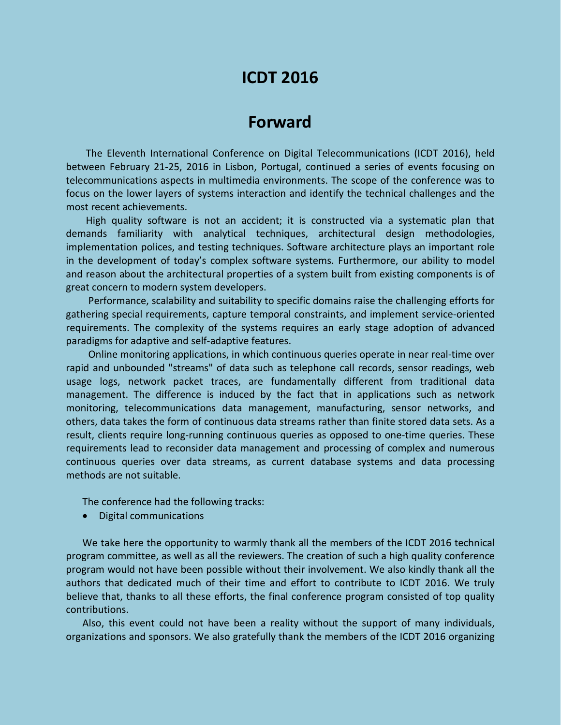## **ICDT 2016**

## **Forward**

The Eleventh International Conference on Digital Telecommunications (ICDT 2016), held between February 21-25, 2016 in Lisbon, Portugal, continued a series of events focusing on telecommunications aspects in multimedia environments. The scope of the conference was to focus on the lower layers of systems interaction and identify the technical challenges and the most recent achievements.

High quality software is not an accident; it is constructed via a systematic plan that demands familiarity with analytical techniques, architectural design methodologies, implementation polices, and testing techniques. Software architecture plays an important role in the development of today's complex software systems. Furthermore, our ability to model and reason about the architectural properties of a system built from existing components is of great concern to modern system developers.

Performance, scalability and suitability to specific domains raise the challenging efforts for gathering special requirements, capture temporal constraints, and implement service-oriented requirements. The complexity of the systems requires an early stage adoption of advanced paradigms for adaptive and self-adaptive features.

Online monitoring applications, in which continuous queries operate in near real-time over rapid and unbounded "streams" of data such as telephone call records, sensor readings, web usage logs, network packet traces, are fundamentally different from traditional data management. The difference is induced by the fact that in applications such as network monitoring, telecommunications data management, manufacturing, sensor networks, and others, data takes the form of continuous data streams rather than finite stored data sets. As a result, clients require long-running continuous queries as opposed to one-time queries. These requirements lead to reconsider data management and processing of complex and numerous continuous queries over data streams, as current database systems and data processing methods are not suitable.

The conference had the following tracks:

Digital communications

We take here the opportunity to warmly thank all the members of the ICDT 2016 technical program committee, as well as all the reviewers. The creation of such a high quality conference program would not have been possible without their involvement. We also kindly thank all the authors that dedicated much of their time and effort to contribute to ICDT 2016. We truly believe that, thanks to all these efforts, the final conference program consisted of top quality contributions.

Also, this event could not have been a reality without the support of many individuals, organizations and sponsors. We also gratefully thank the members of the ICDT 2016 organizing